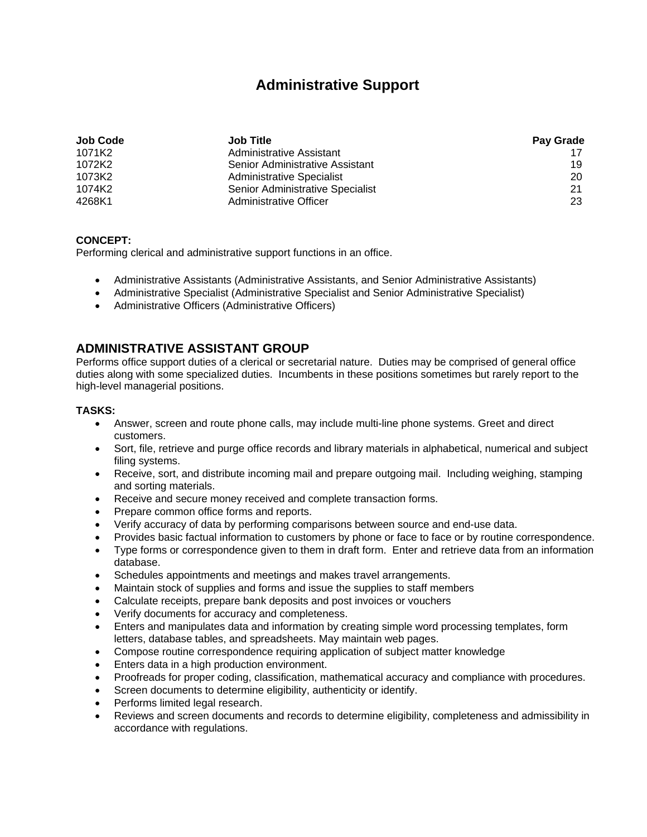# **Administrative Support**

| <b>Job Code</b> | <b>Job Title</b>                 | Pay Grade |
|-----------------|----------------------------------|-----------|
| 1071K2          | Administrative Assistant         |           |
| 1072K2          | Senior Administrative Assistant  | 19        |
| 1073K2          | Administrative Specialist        | 20        |
| 1074K2          | Senior Administrative Specialist | 21        |
| 4268K1          | Administrative Officer           | 23        |

### **CONCEPT:**

Performing clerical and administrative support functions in an office.

- Administrative Assistants (Administrative Assistants, and Senior Administrative Assistants)
- Administrative Specialist (Administrative Specialist and Senior Administrative Specialist)
- Administrative Officers (Administrative Officers)

## **ADMINISTRATIVE ASSISTANT GROUP**

Performs office support duties of a clerical or secretarial nature. Duties may be comprised of general office duties along with some specialized duties. Incumbents in these positions sometimes but rarely report to the high-level managerial positions.

### **TASKS:**

- Answer, screen and route phone calls, may include multi-line phone systems. Greet and direct customers.
- Sort, file, retrieve and purge office records and library materials in alphabetical, numerical and subject filing systems.
- Receive, sort, and distribute incoming mail and prepare outgoing mail. Including weighing, stamping and sorting materials.
- Receive and secure money received and complete transaction forms.
- Prepare common office forms and reports.
- Verify accuracy of data by performing comparisons between source and end-use data.
- Provides basic factual information to customers by phone or face to face or by routine correspondence.
- Type forms or correspondence given to them in draft form. Enter and retrieve data from an information database.
- Schedules appointments and meetings and makes travel arrangements.
- Maintain stock of supplies and forms and issue the supplies to staff members
- Calculate receipts, prepare bank deposits and post invoices or vouchers
- Verify documents for accuracy and completeness.
- Enters and manipulates data and information by creating simple word processing templates, form letters, database tables, and spreadsheets. May maintain web pages.
- Compose routine correspondence requiring application of subject matter knowledge
- **Enters data in a high production environment.**
- Proofreads for proper coding, classification, mathematical accuracy and compliance with procedures.
- Screen documents to determine eligibility, authenticity or identify.
- Performs limited legal research.
- Reviews and screen documents and records to determine eligibility, completeness and admissibility in accordance with regulations.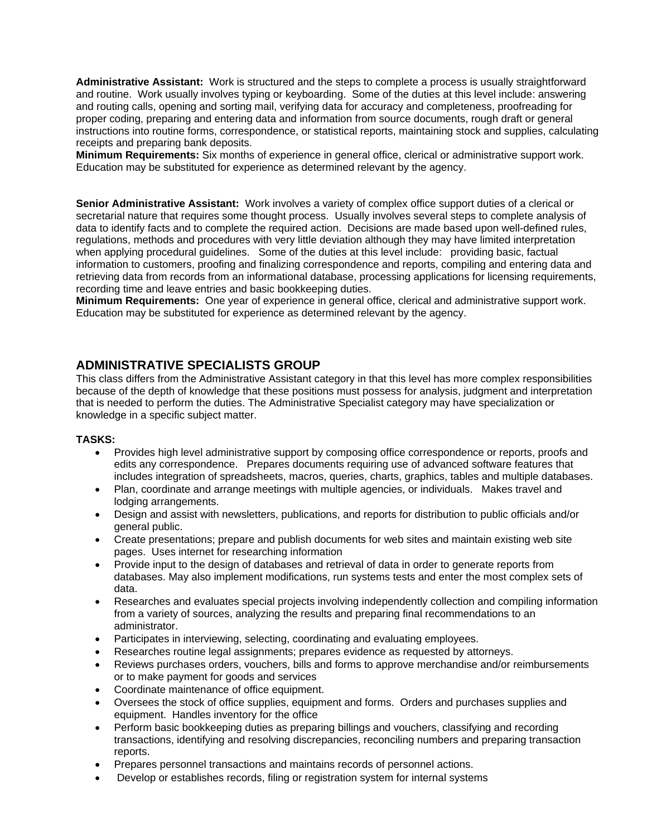**Administrative Assistant:** Work is structured and the steps to complete a process is usually straightforward and routine. Work usually involves typing or keyboarding. Some of the duties at this level include: answering and routing calls, opening and sorting mail, verifying data for accuracy and completeness, proofreading for proper coding, preparing and entering data and information from source documents, rough draft or general instructions into routine forms, correspondence, or statistical reports, maintaining stock and supplies, calculating receipts and preparing bank deposits.

**Minimum Requirements:** Six months of experience in general office, clerical or administrative support work. Education may be substituted for experience as determined relevant by the agency.

**Senior Administrative Assistant:** Work involves a variety of complex office support duties of a clerical or secretarial nature that requires some thought process. Usually involves several steps to complete analysis of data to identify facts and to complete the required action. Decisions are made based upon well-defined rules, regulations, methods and procedures with very little deviation although they may have limited interpretation when applying procedural guidelines. Some of the duties at this level include: providing basic, factual information to customers, proofing and finalizing correspondence and reports, compiling and entering data and retrieving data from records from an informational database, processing applications for licensing requirements, recording time and leave entries and basic bookkeeping duties.

**Minimum Requirements:** One year of experience in general office, clerical and administrative support work. Education may be substituted for experience as determined relevant by the agency.

# **ADMINISTRATIVE SPECIALISTS GROUP**

This class differs from the Administrative Assistant category in that this level has more complex responsibilities because of the depth of knowledge that these positions must possess for analysis, judgment and interpretation that is needed to perform the duties. The Administrative Specialist category may have specialization or knowledge in a specific subject matter.

#### **TASKS:**

- Provides high level administrative support by composing office correspondence or reports, proofs and edits any correspondence. Prepares documents requiring use of advanced software features that includes integration of spreadsheets, macros, queries, charts, graphics, tables and multiple databases.
- Plan, coordinate and arrange meetings with multiple agencies, or individuals. Makes travel and lodging arrangements.
- Design and assist with newsletters, publications, and reports for distribution to public officials and/or general public.
- Create presentations; prepare and publish documents for web sites and maintain existing web site pages. Uses internet for researching information
- Provide input to the design of databases and retrieval of data in order to generate reports from databases. May also implement modifications, run systems tests and enter the most complex sets of data.
- Researches and evaluates special projects involving independently collection and compiling information from a variety of sources, analyzing the results and preparing final recommendations to an administrator.
- Participates in interviewing, selecting, coordinating and evaluating employees.
- Researches routine legal assignments; prepares evidence as requested by attorneys.
- Reviews purchases orders, vouchers, bills and forms to approve merchandise and/or reimbursements or to make payment for goods and services
- Coordinate maintenance of office equipment.
- Oversees the stock of office supplies, equipment and forms. Orders and purchases supplies and equipment. Handles inventory for the office
- Perform basic bookkeeping duties as preparing billings and vouchers, classifying and recording transactions, identifying and resolving discrepancies, reconciling numbers and preparing transaction reports.
- Prepares personnel transactions and maintains records of personnel actions.
- Develop or establishes records, filing or registration system for internal systems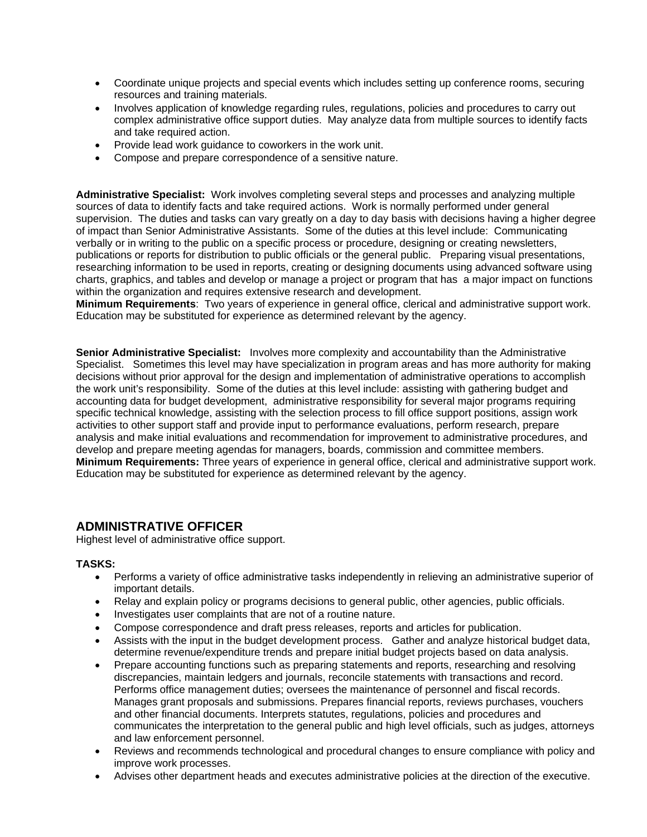- Coordinate unique projects and special events which includes setting up conference rooms, securing resources and training materials.
- Involves application of knowledge regarding rules, regulations, policies and procedures to carry out complex administrative office support duties. May analyze data from multiple sources to identify facts and take required action.
- Provide lead work guidance to coworkers in the work unit.
- Compose and prepare correspondence of a sensitive nature.

**Administrative Specialist:** Work involves completing several steps and processes and analyzing multiple sources of data to identify facts and take required actions. Work is normally performed under general supervision. The duties and tasks can vary greatly on a day to day basis with decisions having a higher degree of impact than Senior Administrative Assistants. Some of the duties at this level include: Communicating verbally or in writing to the public on a specific process or procedure, designing or creating newsletters, publications or reports for distribution to public officials or the general public. Preparing visual presentations, researching information to be used in reports, creating or designing documents using advanced software using charts, graphics, and tables and develop or manage a project or program that has a major impact on functions within the organization and requires extensive research and development.

**Minimum Requirements**: Two years of experience in general office, clerical and administrative support work. Education may be substituted for experience as determined relevant by the agency.

**Senior Administrative Specialist:** Involves more complexity and accountability than the Administrative Specialist. Sometimes this level may have specialization in program areas and has more authority for making decisions without prior approval for the design and implementation of administrative operations to accomplish the work unit's responsibility. Some of the duties at this level include: assisting with gathering budget and accounting data for budget development, administrative responsibility for several major programs requiring specific technical knowledge, assisting with the selection process to fill office support positions, assign work activities to other support staff and provide input to performance evaluations, perform research, prepare analysis and make initial evaluations and recommendation for improvement to administrative procedures, and develop and prepare meeting agendas for managers, boards, commission and committee members. **Minimum Requirements:** Three years of experience in general office, clerical and administrative support work. Education may be substituted for experience as determined relevant by the agency.

### **ADMINISTRATIVE OFFICER**

Highest level of administrative office support.

#### **TASKS:**

- Performs a variety of office administrative tasks independently in relieving an administrative superior of important details.
- Relay and explain policy or programs decisions to general public, other agencies, public officials.
- Investigates user complaints that are not of a routine nature.
- Compose correspondence and draft press releases, reports and articles for publication.
- Assists with the input in the budget development process. Gather and analyze historical budget data, determine revenue/expenditure trends and prepare initial budget projects based on data analysis.
- Prepare accounting functions such as preparing statements and reports, researching and resolving discrepancies, maintain ledgers and journals, reconcile statements with transactions and record. Performs office management duties; oversees the maintenance of personnel and fiscal records. Manages grant proposals and submissions. Prepares financial reports, reviews purchases, vouchers and other financial documents. Interprets statutes, regulations, policies and procedures and communicates the interpretation to the general public and high level officials, such as judges, attorneys and law enforcement personnel.
- Reviews and recommends technological and procedural changes to ensure compliance with policy and improve work processes.
- Advises other department heads and executes administrative policies at the direction of the executive.